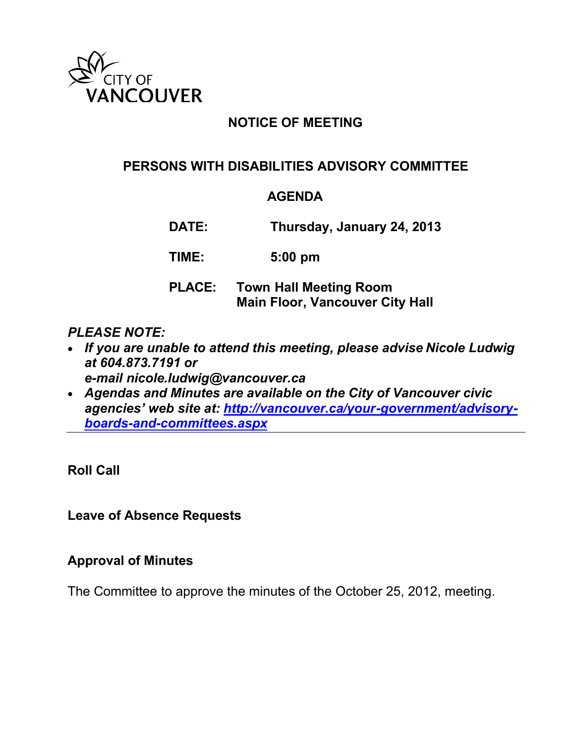

# **NOTICE OF MEETING**

## **PERSONS WITH DISABILITIES ADVISORY COMMITTEE**

#### **AGENDA**

**DATE: Thursday, January 24, 2013**

**TIME: 5:00 pm**

### **PLACE: Town Hall Meeting Room Main Floor, Vancouver City Hall**

#### *PLEASE NOTE:*

- *If you are unable to attend this meeting, please advise Nicole Ludwig at 604.873.7191 or e-mail nicole.ludwig@vancouver.ca*
- *Agendas and Minutes are available on the City of Vancouver civic agencies' web site at: [http://vancouver.ca/your-government/advisory](http://vancouver.ca/your-government/advisory-boards-and-committees.aspx)[boards-and-committees.aspx](http://vancouver.ca/your-government/advisory-boards-and-committees.aspx)*

**Roll Call**

**Leave of Absence Requests**

#### **Approval of Minutes**

The Committee to approve the minutes of the October 25, 2012, meeting.